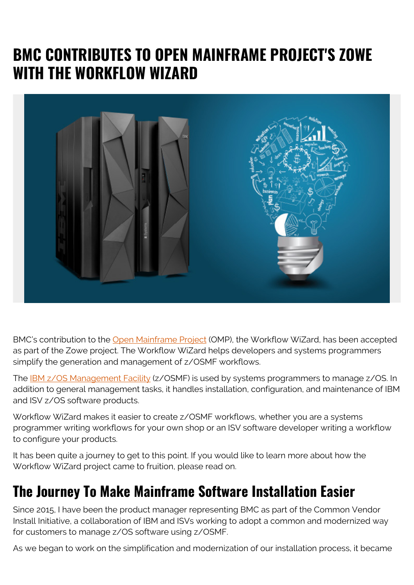# **BMC CONTRIBUTES TO OPEN MAINFRAME PROJECT'S ZOWE WITH THE WORKFLOW WIZARD**



BMC's contribution to the [Open Mainframe Project](https://www.openmainframeproject.org/) (OMP), the Workflow WiZard, has been accepted as part of the Zowe project. The Workflow WiZard helps developers and systems programmers simplify the generation and management of z/OSMF workflows.

The [IBM z/OS Management Facility](https://www.ibm.com/products/zos-management-facility) (z/OSMF) is used by systems programmers to manage z/OS. In addition to general management tasks, it handles installation, configuration, and maintenance of IBM and ISV z/OS software products.

Workflow WiZard makes it easier to create z/OSMF workflows, whether you are a systems programmer writing workflows for your own shop or an ISV software developer writing a workflow to configure your products.

It has been quite a journey to get to this point. If you would like to learn more about how the Workflow WiZard project came to fruition, please read on.

### **The Journey To Make Mainframe Software Installation Easier**

Since 2015, I have been the product manager representing BMC as part of the Common Vendor Install Initiative, a collaboration of IBM and ISVs working to adopt a common and modernized way for customers to manage z/OS software using z/OSMF.

As we began to work on the simplification and modernization of our installation process, it became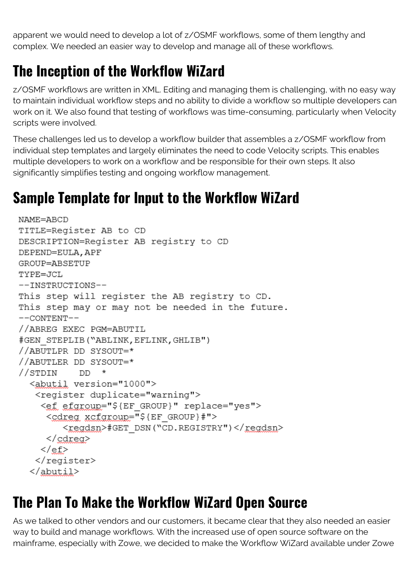apparent we would need to develop a lot of z/OSMF workflows, some of them lengthy and complex. We needed an easier way to develop and manage all of these workflows.

## **The Inception of the Workflow WiZard**

z/OSMF workflows are written in XML. Editing and managing them is challenging, with no easy way to maintain individual workflow steps and no ability to divide a workflow so multiple developers can work on it. We also found that testing of workflows was time-consuming, particularly when Velocity scripts were involved.

These challenges led us to develop a workflow builder that assembles a z/OSMF workflow from individual step templates and largely eliminates the need to code Velocity scripts. This enables multiple developers to work on a workflow and be responsible for their own steps. It also significantly simplifies testing and ongoing workflow management.

#### **Sample Template for Input to the Workflow WiZard**

```
NAME=ABCD
TITLE=Register AB to CD
DESCRIPTION=Register AB registry to CD
DEPEND=EULA, APF
GROUP=ABSETUP
TYPE=JCL
--INSTRUCTIONS--
This step will register the AB registry to CD.
This step may or may not be needed in the future.
--CONTENT--
//ABREG EXEC PGM=ABUTIL
#GEN STEPLIB ("ABLINK, EFLINK, GHLIB")
//ABUTLPR DD SYSOUT=*
//ABUTLER DD SYSOUT=*
//STDIN DD *
  <abutil version="1000">
   <register duplicate="warning">
    <ef efgroup="${EF GROUP}" replace="yes">
     <cdreq xcfgroup="${EF GROUP}#">
        <regdsn>#GET DSN("CD.REGISTRY")</regdsn>
     </cdreq>
    \langle/ef>
   </register>
  </abutil>
```
### **The Plan To Make the Workflow WiZard Open Source**

As we talked to other vendors and our customers, it became clear that they also needed an easier way to build and manage workflows. With the increased use of open source software on the mainframe, especially with Zowe, we decided to make the Workflow WiZard available under Zowe